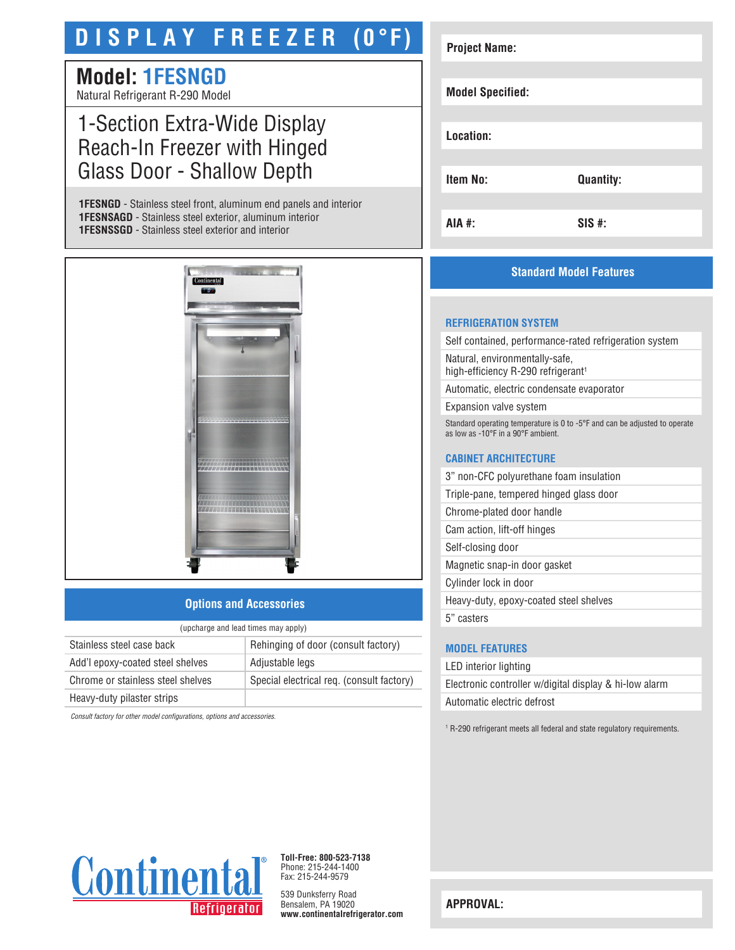# **D I S P L A Y F R E E Z E R (0°F)**

# **Model: 1FESNGD**

Natural Refrigerant R-290 Model

# 1-Section Extra-Wide Display Reach-In Freezer with Hinged Glass Door - Shallow Depth

**1FESNGD** - Stainless steel front, aluminum end panels and interior **1FESNSAGD** - Stainless steel exterior, aluminum interior **1FESNSSGD** - Stainless steel exterior and interior



### **Options and Accessories**

| (upcharge and lead times may apply) |                                           |  |
|-------------------------------------|-------------------------------------------|--|
| Stainless steel case back           | Rehinging of door (consult factory)       |  |
| Add'l epoxy-coated steel shelves    | Adjustable legs                           |  |
| Chrome or stainless steel shelves   | Special electrical req. (consult factory) |  |
| Heavy-duty pilaster strips          |                                           |  |
|                                     |                                           |  |

*Consult factory for other model configurations, options and accessories.*

| <b>Project Name:</b>    |                  |
|-------------------------|------------------|
|                         |                  |
| <b>Model Specified:</b> |                  |
|                         |                  |
| Location:               |                  |
|                         |                  |
| Item No:                | <b>Quantity:</b> |
|                         |                  |
| AIA #:                  | $SIS$ #:         |

## **Standard Model Features**

#### **REFRIGERATION SYSTEM**

Self contained, performance-rated refrigeration system

Natural, environmentally-safe, high-efficiency R-290 refrigerant<sup>1</sup>

Automatic, electric condensate evaporator

Expansion valve system

Standard operating temperature is 0 to -5°F and can be adjusted to operate as low as -10°F in a 90°F ambient.

#### **CABINET ARCHITECTURE**

3" non-CFC polyurethane foam insulation

Triple-pane, tempered hinged glass door

Chrome-plated door handle

Cam action, lift-off hinges

Self-closing door

Magnetic snap-in door gasket

Cylinder lock in door

Heavy-duty, epoxy-coated steel shelves

5" casters

### **MODEL FEATURES**

LED interior lighting Electronic controller w/digital display & hi-low alarm Automatic electric defrost

<sup>1</sup> R-290 refrigerant meets all federal and state regulatory requirements.



**Toll-Free: 800-523-7138** Phone: 215-244-1400 Fax: 215-244-9579

539 Dunksferry Road Bensalem, PA 19020 **www.continentalrefrigerator.com** 

**APPROVAL:**